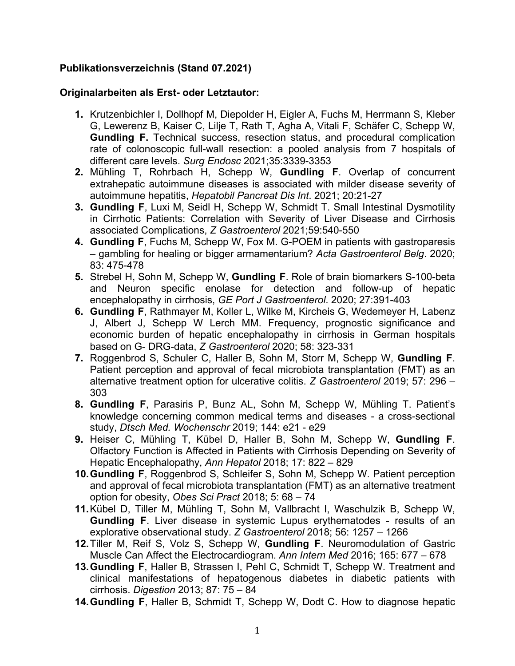# **Publikationsverzeichnis (Stand 07.2021)**

#### **Originalarbeiten als Erst- oder Letztautor:**

- **1.** Krutzenbichler I, Dollhopf M, Diepolder H, Eigler A, Fuchs M, Herrmann S, Kleber G, Lewerenz B, Kaiser C, Lilje T, Rath T, Agha A, Vitali F, Schäfer C, Schepp W, **Gundling F.** Technical success, resection status, and procedural complication rate of colonoscopic full-wall resection: a pooled analysis from 7 hospitals of different care levels. *Surg Endosc* 2021;35:3339-3353
- **2.** Mühling T, Rohrbach H, Schepp W, **Gundling F**. Overlap of concurrent extrahepatic autoimmune diseases is associated with milder disease severity of autoimmune hepatitis, *Hepatobil Pancreat Dis Int*. 2021; 20:21-27
- **3. Gundling F**, Luxi M, Seidl H, Schepp W, Schmidt T. Small Intestinal Dysmotility in Cirrhotic Patients: Correlation with Severity of Liver Disease and Cirrhosis associated Complications, *Z Gastroenterol* 2021;59:540-550
- **4. Gundling F**, Fuchs M, Schepp W, Fox M. G-POEM in patients with gastroparesis – gambling for healing or bigger armamentarium? *Acta Gastroenterol Belg*. 2020; 83: 475-478
- **5.** Strebel H, Sohn M, Schepp W, **Gundling F**. Role of brain biomarkers S-100-beta and Neuron specific enolase for detection and follow-up of hepatic encephalopathy in cirrhosis, *GE Port J Gastroenterol*. 2020; 27:391-403
- **6. Gundling F**, Rathmayer M, Koller L, Wilke M, Kircheis G, Wedemeyer H, Labenz J, Albert J, Schepp W Lerch MM. Frequency, prognostic significance and economic burden of hepatic encephalopathy in cirrhosis in German hospitals based on G- DRG-data, *Z Gastroenterol* 2020; 58: 323-331
- **7.** Roggenbrod S, Schuler C, Haller B, Sohn M, Storr M, Schepp W, **Gundling F**. Patient perception and approval of fecal microbiota transplantation (FMT) as an alternative treatment option for ulcerative colitis. *Z Gastroenterol* 2019; 57: 296 – 303
- **8. Gundling F**, Parasiris P, Bunz AL, Sohn M, Schepp W, Mühling T. Patient's knowledge concerning common medical terms and diseases - a cross-sectional study, *Dtsch Med. Wochenschr* 2019; 144: e21 - e29
- **9.** Heiser C, Mühling T, Kübel D, Haller B, Sohn M, Schepp W, **Gundling F**. Olfactory Function is Affected in Patients with Cirrhosis Depending on Severity of Hepatic Encephalopathy, *Ann Hepatol* 2018; 17: 822 – 829
- **10.Gundling F**, Roggenbrod S, Schleifer S, Sohn M, Schepp W. Patient perception and approval of fecal microbiota transplantation (FMT) as an alternative treatment option for obesity, *Obes Sci Pract* 2018; 5: 68 – 74
- **11.**Kübel D, Tiller M, Mühling T, Sohn M, Vallbracht I, Waschulzik B, Schepp W, **Gundling F**. Liver disease in systemic Lupus erythematodes - results of an explorative observational study. *Z Gastroenterol* 2018; 56: 1257 – 1266
- **12.**Tiller M, Reif S, Volz S, Schepp W, **Gundling F**. Neuromodulation of Gastric Muscle Can Affect the Electrocardiogram. *Ann Intern Med* 2016; 165: 677 – 678
- **13.Gundling F**, Haller B, Strassen I, Pehl C, Schmidt T, Schepp W. Treatment and clinical manifestations of hepatogenous diabetes in diabetic patients with cirrhosis. *Digestion* 2013; 87: 75 – 84
- **14.Gundling F**, Haller B, Schmidt T, Schepp W, Dodt C. How to diagnose hepatic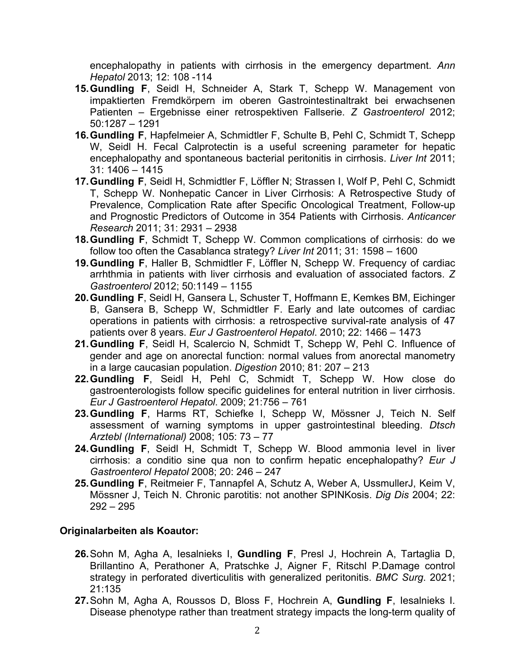encephalopathy in patients with cirrhosis in the emergency department. *Ann Hepatol* 2013; 12: 108 -114

- **15.Gundling F**, Seidl H, Schneider A, Stark T, Schepp W. Management von impaktierten Fremdkörpern im oberen Gastrointestinaltrakt bei erwachsenen Patienten – Ergebnisse einer retrospektiven Fallserie. *Z Gastroenterol* 2012; 50:1287 – 1291
- **16.Gundling F**, Hapfelmeier A, Schmidtler F, Schulte B, Pehl C, Schmidt T, Schepp W, Seidl H. Fecal Calprotectin is a useful screening parameter for hepatic encephalopathy and spontaneous bacterial peritonitis in cirrhosis. *Liver Int* 2011; 31: 1406 – 1415
- **17.Gundling F**, Seidl H, Schmidtler F, Löffler N; Strassen I, Wolf P, Pehl C, Schmidt T, Schepp W. Nonhepatic Cancer in Liver Cirrhosis: A Retrospective Study of Prevalence, Complication Rate after Specific Oncological Treatment, Follow-up and Prognostic Predictors of Outcome in 354 Patients with Cirrhosis. *Anticancer Research* 2011; 31: 2931 – 2938
- **18.Gundling F**, Schmidt T, Schepp W. Common complications of cirrhosis: do we follow too often the Casablanca strategy? *Liver Int* 2011; 31: 1598 – 1600
- **19.Gundling F**, Haller B, Schmidtler F, Löffler N, Schepp W. Frequency of cardiac arrhthmia in patients with liver cirrhosis and evaluation of associated factors. *Z Gastroenterol* 2012; 50:1149 – 1155
- **20.Gundling F**, Seidl H, Gansera L, Schuster T, Hoffmann E, Kemkes BM, Eichinger B, Gansera B, Schepp W, Schmidtler F. Early and late outcomes of cardiac operations in patients with cirrhosis: a retrospective survival-rate analysis of 47 patients over 8 years. *Eur J Gastroenterol Hepatol*. 2010; 22: 1466 – 1473
- **21.Gundling F**, Seidl H, Scalercio N, Schmidt T, Schepp W, Pehl C. Influence of gender and age on anorectal function: normal values from anorectal manometry in a large caucasian population. *Digestion* 2010; 81: 207 – 213
- **22.Gundling F**, Seidl H, Pehl C, Schmidt T, Schepp W. How close do gastroenterologists follow specific guidelines for enteral nutrition in liver cirrhosis. *Eur J Gastroenterol Hepatol*. 2009; 21:756 – 761
- **23.Gundling F**, Harms RT, Schiefke I, Schepp W, Mössner J, Teich N. Self assessment of warning symptoms in upper gastrointestinal bleeding. *Dtsch Arztebl (International)* 2008; 105: 73 – 77
- **24.Gundling F**, Seidl H, Schmidt T, Schepp W. Blood ammonia level in liver cirrhosis: a conditio sine qua non to confirm hepatic encephalopathy? *Eur J Gastroenterol Hepatol* 2008; 20: 246 – 247
- **25.Gundling F**, Reitmeier F, Tannapfel A, Schutz A, Weber A, UssmullerJ, Keim V, Mössner J, Teich N. Chronic parotitis: not another SPINKosis. *Dig Dis* 2004; 22: 292 – 295

## **Originalarbeiten als Koautor:**

- **26.**Sohn M, Agha A, Iesalnieks I, **Gundling F**, Presl J, Hochrein A, Tartaglia D, Brillantino A, Perathoner A, Pratschke J, Aigner F, Ritschl P.Damage control strategy in perforated diverticulitis with generalized peritonitis. *BMC Surg*. 2021; 21:135
- **27.**Sohn M, Agha A, Roussos D, Bloss F, Hochrein A, **Gundling F**, Iesalnieks I. Disease phenotype rather than treatment strategy impacts the long-term quality of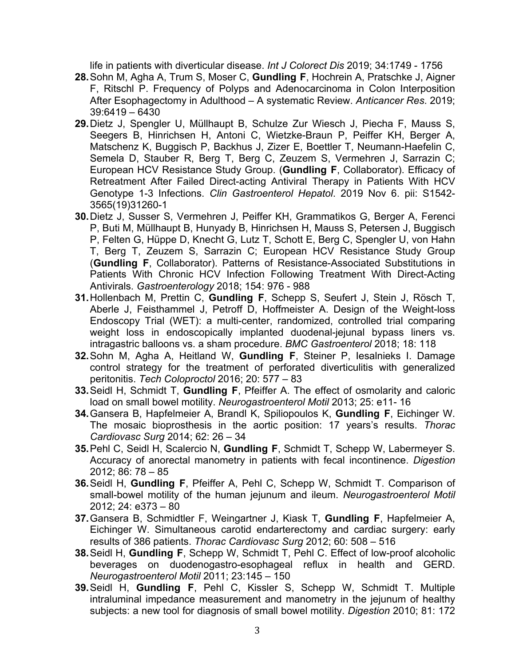life in patients with diverticular disease. *Int J Colorect Dis* 2019; 34:1749 - 1756

- **28.**Sohn M, Agha A, Trum S, Moser C, **Gundling F**, Hochrein A, Pratschke J, Aigner F, Ritschl P. Frequency of Polyps and Adenocarcinoma in Colon Interposition After Esophagectomy in Adulthood – A systematic Review. *Anticancer Res*. 2019; 39:6419 – 6430
- **29.**Dietz J, Spengler U, Müllhaupt B, Schulze Zur Wiesch J, Piecha F, Mauss S, Seegers B, Hinrichsen H, Antoni C, Wietzke-Braun P, Peiffer KH, Berger A, Matschenz K, Buggisch P, Backhus J, Zizer E, Boettler T, Neumann-Haefelin C, Semela D, Stauber R, Berg T, Berg C, Zeuzem S, Vermehren J, Sarrazin C; European HCV Resistance Study Group. (**Gundling F**, Collaborator). Efficacy of Retreatment After Failed Direct-acting Antiviral Therapy in Patients With HCV Genotype 1-3 Infections. *Clin Gastroenterol Hepatol*. 2019 Nov 6. pii: S1542- 3565(19)31260-1
- **30.**Dietz J, Susser S, Vermehren J, Peiffer KH, Grammatikos G, Berger A, Ferenci P, Buti M, Müllhaupt B, Hunyady B, Hinrichsen H, Mauss S, Petersen J, Buggisch P, Felten G, Hüppe D, Knecht G, Lutz T, Schott E, Berg C, Spengler U, von Hahn T, Berg T, Zeuzem S, Sarrazin C; European HCV Resistance Study Group (**Gundling F**, Collaborator). Patterns of Resistance-Associated Substitutions in Patients With Chronic HCV Infection Following Treatment With Direct-Acting Antivirals. *Gastroenterology* 2018; 154: 976 - 988
- **31.**Hollenbach M, Prettin C, **Gundling F**, Schepp S, Seufert J, Stein J, Rösch T, Aberle J, Feisthammel J, Petroff D, Hoffmeister A. Design of the Weight-loss Endoscopy Trial (WET): a multi-center, randomized, controlled trial comparing weight loss in endoscopically implanted duodenal-jejunal bypass liners vs. intragastric balloons vs. a sham procedure. *BMC Gastroenterol* 2018; 18: 118
- **32.**Sohn M, Agha A, Heitland W, **Gundling F**, Steiner P, Iesalnieks I. Damage control strategy for the treatment of perforated diverticulitis with generalized peritonitis. *Tech Coloproctol* 2016; 20: 577 – 83
- **33.**Seidl H, Schmidt T, **Gundling F**, Pfeiffer A. The effect of osmolarity and caloric load on small bowel motility. *Neurogastroenterol Motil* 2013; 25: e11- 16
- **34.**Gansera B, Hapfelmeier A, Brandl K, Spiliopoulos K, **Gundling F**, Eichinger W. The mosaic bioprosthesis in the aortic position: 17 years's results. *Thorac Cardiovasc Surg* 2014; 62: 26 – 34
- **35.**Pehl C, Seidl H, Scalercio N, **Gundling F**, Schmidt T, Schepp W, Labermeyer S. Accuracy of anorectal manometry in patients with fecal incontinence. *Digestion*  2012; 86: 78 – 85
- **36.**Seidl H, **Gundling F**, Pfeiffer A, Pehl C, Schepp W, Schmidt T. Comparison of small-bowel motility of the human jejunum and ileum. *Neurogastroenterol Motil*  2012; 24: e373 – 80
- **37.**Gansera B, Schmidtler F, Weingartner J, Kiask T, **Gundling F**, Hapfelmeier A, Eichinger W. Simultaneous carotid endarterectomy and cardiac surgery: early results of 386 patients. *Thorac Cardiovasc Surg* 2012; 60: 508 – 516
- **38.**Seidl H, **Gundling F**, Schepp W, Schmidt T, Pehl C. Effect of low-proof alcoholic beverages on duodenogastro-esophageal reflux in health and GERD. *Neurogastroenterol Motil* 2011; 23:145 – 150
- **39.**Seidl H, **Gundling F**, Pehl C, Kissler S, Schepp W, Schmidt T. Multiple intraluminal impedance measurement and manometry in the jejunum of healthy subjects: a new tool for diagnosis of small bowel motility. *Digestion* 2010; 81: 172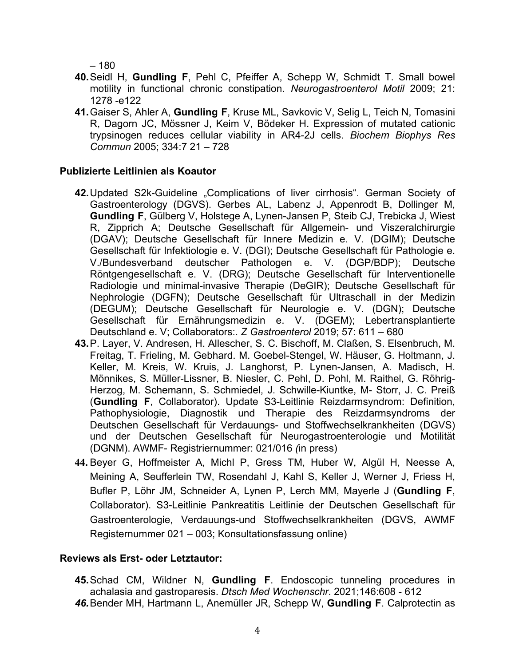– 180

- **40.**Seidl H, **Gundling F**, Pehl C, Pfeiffer A, Schepp W, Schmidt T. Small bowel motility in functional chronic constipation. *Neurogastroenterol Motil* 2009; 21: 1278 -e122
- **41.**Gaiser S, Ahler A, **Gundling F**, Kruse ML, Savkovic V, Selig L, Teich N, Tomasini R, Dagorn JC, Mössner J, Keim V, Bödeker H. Expression of mutated cationic trypsinogen reduces cellular viability in AR4-2J cells. *Biochem Biophys Res Commun* 2005; 334:7 21 – 728

#### **Publizierte Leitlinien als Koautor**

- **42.**Updated S2k-Guideline "Complications of liver cirrhosis". German Society of Gastroenterology (DGVS). Gerbes AL, Labenz J, Appenrodt B, Dollinger M, **Gundling F**, Gülberg V, Holstege A, Lynen-Jansen P, Steib CJ, Trebicka J, Wiest R, Zipprich A; Deutsche Gesellschaft für Allgemein- und Viszeralchirurgie (DGAV); Deutsche Gesellschaft für Innere Medizin e. V. (DGIM); Deutsche Gesellschaft für Infektiologie e. V. (DGI); Deutsche Gesellschaft für Pathologie e. V./Bundesverband deutscher Pathologen e. V. (DGP/BDP); Deutsche Röntgengesellschaft e. V. (DRG); Deutsche Gesellschaft für Interventionelle Radiologie und minimal-invasive Therapie (DeGIR); Deutsche Gesellschaft für Nephrologie (DGFN); Deutsche Gesellschaft für Ultraschall in der Medizin (DEGUM); Deutsche Gesellschaft für Neurologie e. V. (DGN); Deutsche Gesellschaft für Ernährungsmedizin e. V. (DGEM); Lebertransplantierte Deutschland e. V; Collaborators:. *Z Gastroenterol* 2019; 57: 611 – 680
- **43.**P. Layer, V. Andresen, H. Allescher, S. C. Bischoff, M. Claßen, S. Elsenbruch, M. Freitag, T. Frieling, M. Gebhard. M. Goebel-Stengel, W. Häuser, G. Holtmann, J. Keller, M. Kreis, W. Kruis, J. Langhorst, P. Lynen-Jansen, A. Madisch, H. Mönnikes, S. Müller-Lissner, B. Niesler, C. Pehl, D. Pohl, M. Raithel, G. Röhrig-Herzog, M. Schemann, S. Schmiedel, J. Schwille-Kiuntke, M- Storr, J. C. Preiß (**Gundling F**, Collaborator). Update S3-Leitlinie Reizdarmsyndrom: Definition, Pathophysiologie, Diagnostik und Therapie des Reizdarmsyndroms der Deutschen Gesellschaft für Verdauungs- und Stoffwechselkrankheiten (DGVS) und der Deutschen Gesellschaft für Neurogastroenterologie und Motilität (DGNM). AWMF- Registriernummer: 021/016 *(*in press)
- **44.** Beyer G, Hoffmeister A, Michl P, Gress TM, Huber W, Algül H, Neesse A, Meining A, Seufferlein TW, Rosendahl J, Kahl S, Keller J, Werner J, Friess H, Bufler P, Löhr JM, Schneider A, Lynen P, Lerch MM, Mayerle J (**Gundling F**, Collaborator). S3-Leitlinie Pankreatitis Leitlinie der Deutschen Gesellschaft für Gastroenterologie, Verdauungs-und Stoffwechselkrankheiten (DGVS, AWMF Registernummer 021 – 003; Konsultationsfassung online)

#### **Reviews als Erst- oder Letztautor:**

**45.**Schad CM, Wildner N, **Gundling F**. Endoscopic tunneling procedures in achalasia and gastroparesis. *Dtsch Med Wochenschr*. 2021;146:608 - 612 *46.*Bender MH, Hartmann L, Anemüller JR, Schepp W, **Gundling F**. Calprotectin as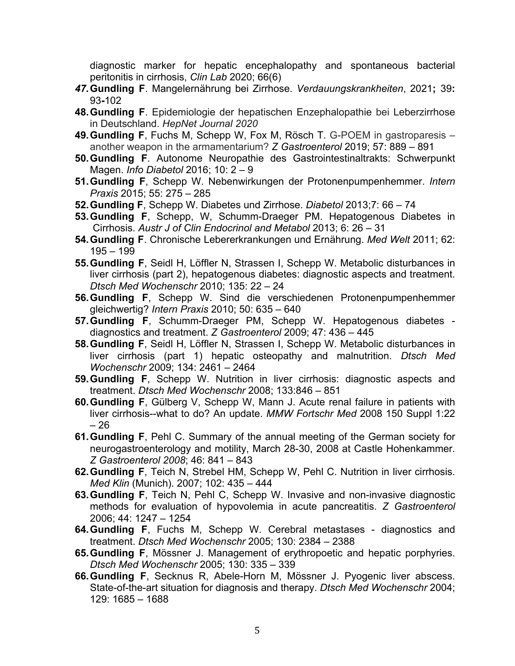diagnostic marker for hepatic encephalopathy and spontaneous bacterial peritonitis in cirrhosis, *Clin Lab* 2020; 66(6)

- *47.***Gundling F**. Mangelernährung bei Zirrhose. *Verdauungskrankheiten*, 2021**;** 39**:**  93**-**102
- **48.Gundling F**. Epidemiologie der hepatischen Enzephalopathie bei Leberzirrhose in Deutschland. *HepNet Journal 2020*
- **49.Gundling F**, Fuchs M, Schepp W, Fox M, Rösch T. G-POEM in gastroparesis another weapon in the armamentarium? *Z Gastroenterol* 2019; 57: 889 – 891
- **50.Gundling F**. Autonome Neuropathie des Gastrointestinaltrakts: Schwerpunkt Magen. *Info Diabetol* 2016; 10: 2 – 9
- **51.Gundling F**, Schepp W. Nebenwirkungen der Protonenpumpenhemmer. *Intern Praxis* 2015; 55: 275 – 285
- **52.Gundling F**, Schepp W. Diabetes und Zirrhose. *Diabetol* 2013;7: 66 74
- **53.Gundling F**, Schepp, W, Schumm-Draeger PM. Hepatogenous Diabetes in Cirrhosis. *Austr J of Clin Endocrinol and Metabol* 2013; 6: 26 – 31
- **54.Gundling F**. Chronische Lebererkrankungen und Ernährung. *Med Welt* 2011; 62: 195 – 199
- **55.Gundling F**, Seidl H, Löffler N, Strassen I, Schepp W. Metabolic disturbances in liver cirrhosis (part 2), hepatogenous diabetes: diagnostic aspects and treatment. *Dtsch Med Wochenschr* 2010; 135: 22 – 24
- **56.Gundling F**, Schepp W. Sind die verschiedenen Protonenpumpenhemmer gleichwertig? *Intern Praxis* 2010; 50: 635 – 640
- **57.Gundling F**, Schumm-Draeger PM, Schepp W. Hepatogenous diabetes diagnostics and treatment. *Z Gastroenterol* 2009; 47: 436 – 445
- **58.Gundling F**, Seidl H, Löffler N, Strassen I, Schepp W. Metabolic disturbances in liver cirrhosis (part 1) hepatic osteopathy and malnutrition. *Dtsch Med Wochenschr* 2009; 134: 2461 – 2464
- **59.Gundling F**, Schepp W. Nutrition in liver cirrhosis: diagnostic aspects and treatment. *Dtsch Med Wochenschr* 2008; 133:846 – 851
- **60.Gundling F**, Gülberg V, Schepp W, Mann J. Acute renal failure in patients with liver cirrhosis--what to do? An update. *MMW Fortschr Med* 2008 150 Suppl 1:22 – 26
- **61.Gundling F**, Pehl C. Summary of the annual meeting of the German society for neurogastroenterology and motility, March 28-30, 2008 at Castle Hohenkammer. *Z Gastroenterol 2008*; 46: 841 – 843
- **62.Gundling F**, Teich N, Strebel HM, Schepp W, Pehl C. Nutrition in liver cirrhosis. *Med Klin* (Munich). 2007; 102: 435 – 444
- **63.Gundling F**, Teich N, Pehl C, Schepp W. Invasive and non-invasive diagnostic methods for evaluation of hypovolemia in acute pancreatitis. *Z Gastroenterol*  2006; 44: 1247 – 1254
- **64.Gundling F**, Fuchs M, Schepp W. Cerebral metastases diagnostics and treatment. *Dtsch Med Wochenschr* 2005; 130: 2384 – 2388
- **65.Gundling F**, Mössner J. Management of erythropoetic and hepatic porphyries. *Dtsch Med Wochenschr* 2005; 130: 335 – 339
- **66.Gundling F**, Secknus R, Abele-Horn M, Mössner J. Pyogenic liver abscess. State-of-the-art situation for diagnosis and therapy. *Dtsch Med Wochenschr* 2004; 129: 1685 – 1688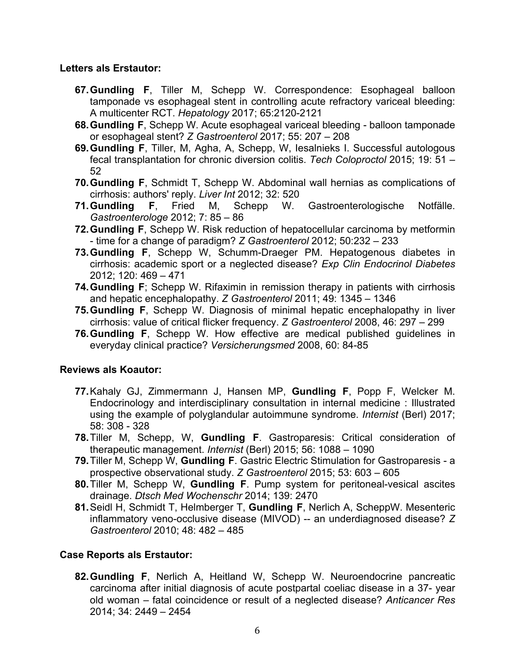#### **Letters als Erstautor:**

- **67.Gundling F**, Tiller M, Schepp W. Correspondence: Esophageal balloon tamponade vs esophageal stent in controlling acute refractory variceal bleeding: A multicenter RCT. *Hepatology* 2017; 65:2120-2121
- **68.Gundling F**, Schepp W. Acute esophageal variceal bleeding balloon tamponade or esophageal stent? *Z Gastroenterol* 2017; 55: 207 – 208
- **69.Gundling F**, Tiller, M, Agha, A, Schepp, W, Iesalnieks I. Successful autologous fecal transplantation for chronic diversion colitis. *Tech Coloproctol* 2015; 19: 51 – 52
- **70.Gundling F**, Schmidt T, Schepp W. Abdominal wall hernias as complications of cirrhosis: authors' reply. *Liver Int* 2012; 32: 520
- **71.Gundling F**, Fried M, Schepp W. Gastroenterologische Notfälle. *Gastroenterologe* 2012; 7: 85 – 86
- **72.Gundling F**, Schepp W. Risk reduction of hepatocellular carcinoma by metformin - time for a change of paradigm? *Z Gastroenterol* 2012; 50:232 – 233
- **73.Gundling F**, Schepp W, Schumm-Draeger PM. Hepatogenous diabetes in cirrhosis: academic sport or a neglected disease? *Exp Clin Endocrinol Diabetes*  2012; 120: 469 – 471
- **74.Gundling F**; Schepp W. Rifaximin in remission therapy in patients with cirrhosis and hepatic encephalopathy. *Z Gastroenterol* 2011; 49: 1345 – 1346
- **75.Gundling F**, Schepp W. Diagnosis of minimal hepatic encephalopathy in liver cirrhosis: value of critical flicker frequency. *Z Gastroenterol* 2008, 46: 297 – 299
- **76.Gundling F**, Schepp W. How effective are medical published guidelines in everyday clinical practice? *Versicherungsmed* 2008, 60: 84-85

## **Reviews als Koautor:**

- **77.**Kahaly GJ, Zimmermann J, Hansen MP, **Gundling F**, Popp F, Welcker M. Endocrinology and interdisciplinary consultation in internal medicine : Illustrated using the example of polyglandular autoimmune syndrome. *Internist* (Berl) 2017; 58: 308 - 328
- **78.**Tiller M, Schepp, W, **Gundling F**. Gastroparesis: Critical consideration of therapeutic management. *Internist* (Berl) 2015; 56: 1088 – 1090
- **79.**Tiller M, Schepp W, **Gundling F**. Gastric Electric Stimulation for Gastroparesis a prospective observational study. *Z Gastroenterol* 2015; 53: 603 – 605
- **80.**Tiller M, Schepp W, **Gundling F**. Pump system for peritoneal-vesical ascites drainage. *Dtsch Med Wochenschr* 2014; 139: 2470
- **81.**Seidl H, Schmidt T, Helmberger T, **Gundling F**, Nerlich A, ScheppW. Mesenteric inflammatory veno-occlusive disease (MIVOD) -- an underdiagnosed disease? *Z Gastroenterol* 2010; 48: 482 – 485

## **Case Reports als Erstautor:**

**82.Gundling F**, Nerlich A, Heitland W, Schepp W. Neuroendocrine pancreatic carcinoma after initial diagnosis of acute postpartal coeliac disease in a 37- year old woman – fatal coincidence or result of a neglected disease? *Anticancer Res*  2014; 34: 2449 – 2454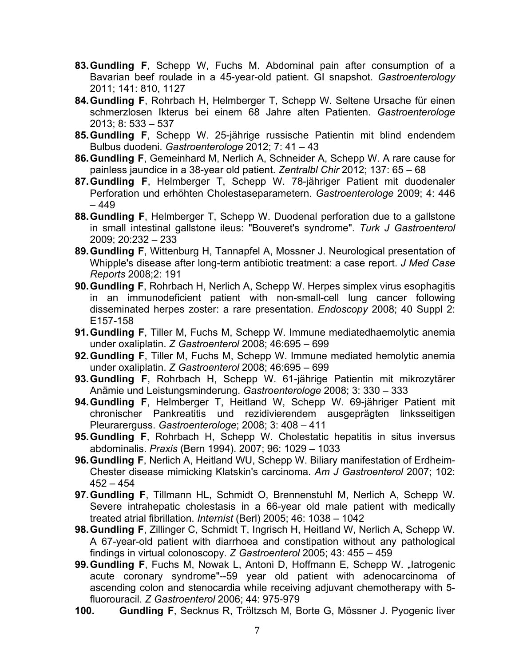- **83.Gundling F**, Schepp W, Fuchs M. Abdominal pain after consumption of a Bavarian beef roulade in a 45-year-old patient. GI snapshot. *Gastroenterology* 2011; 141: 810, 1127
- **84.Gundling F**, Rohrbach H, Helmberger T, Schepp W. Seltene Ursache für einen schmerzlosen Ikterus bei einem 68 Jahre alten Patienten. *Gastroenterologe*  2013; 8: 533 – 537
- **85.Gundling F**, Schepp W. 25-jährige russische Patientin mit blind endendem Bulbus duodeni. *Gastroenterologe* 2012; 7: 41 – 43
- **86.Gundling F**, Gemeinhard M, Nerlich A, Schneider A, Schepp W. A rare cause for painless jaundice in a 38-year old patient. *Zentralbl Chir* 2012; 137: 65 – 68
- **87.Gundling F**, Helmberger T, Schepp W. 78-jähriger Patient mit duodenaler Perforation und erhöhten Cholestaseparametern. *Gastroenterologe* 2009; 4: 446 – 449
- **88.Gundling F**, Helmberger T, Schepp W. Duodenal perforation due to a gallstone in small intestinal gallstone ileus: "Bouveret's syndrome". *Turk J Gastroenterol*  2009; 20:232 – 233
- **89.Gundling F**, Wittenburg H, Tannapfel A, Mossner J. Neurological presentation of Whipple's disease after long-term antibiotic treatment: a case report. *J Med Case Reports* 2008;2: 191
- **90.Gundling F**, Rohrbach H, Nerlich A, Schepp W. Herpes simplex virus esophagitis in an immunodeficient patient with non-small-cell lung cancer following disseminated herpes zoster: a rare presentation. *Endoscopy* 2008; 40 Suppl 2: E157-158
- **91.Gundling F**, Tiller M, Fuchs M, Schepp W. Immune mediatedhaemolytic anemia under oxaliplatin. *Z Gastroenterol* 2008; 46:695 – 699
- **92.Gundling F**, Tiller M, Fuchs M, Schepp W. Immune mediated hemolytic anemia under oxaliplatin. *Z Gastroenterol* 2008; 46:695 – 699
- **93.Gundling F**, Rohrbach H, Schepp W. 61-jährige Patientin mit mikrozytärer Anämie und Leistungsminderung. *Gastroenterologe* 2008; 3: 330 – 333
- **94.Gundling F**, Helmberger T, Heitland W, Schepp W. 69-jähriger Patient mit chronischer Pankreatitis und rezidivierendem ausgeprägten linksseitigen Pleurarerguss. *Gastroenterologe*; 2008; 3: 408 – 411
- **95.Gundling F**, Rohrbach H, Schepp W. Cholestatic hepatitis in situs inversus abdominalis. *Praxis* (Bern 1994). 2007; 96: 1029 – 1033
- **96.Gundling F**, Nerlich A, Heitland WU, Schepp W. Biliary manifestation of Erdheim-Chester disease mimicking Klatskin's carcinoma. *Am J Gastroenterol* 2007; 102:  $452 - 454$
- **97.Gundling F**, Tillmann HL, Schmidt O, Brennenstuhl M, Nerlich A, Schepp W. Severe intrahepatic cholestasis in a 66-year old male patient with medically treated atrial fibrillation. *Internist* (Berl) 2005; 46: 1038 – 1042
- **98.Gundling F**, Zillinger C, Schmidt T, Ingrisch H, Heitland W, Nerlich A, Schepp W. A 67-year-old patient with diarrhoea and constipation without any pathological findings in virtual colonoscopy. *Z Gastroenterol* 2005; 43: 455 – 459
- **99. Gundling F**, Fuchs M, Nowak L, Antoni D, Hoffmann E, Schepp W. "latrogenic acute coronary syndrome"--59 year old patient with adenocarcinoma of ascending colon and stenocardia while receiving adjuvant chemotherapy with 5 fluorouracil. *Z Gastroenterol* 2006; 44: 975-979
- **100. Gundling F**, Secknus R, Tröltzsch M, Borte G, Mössner J. Pyogenic liver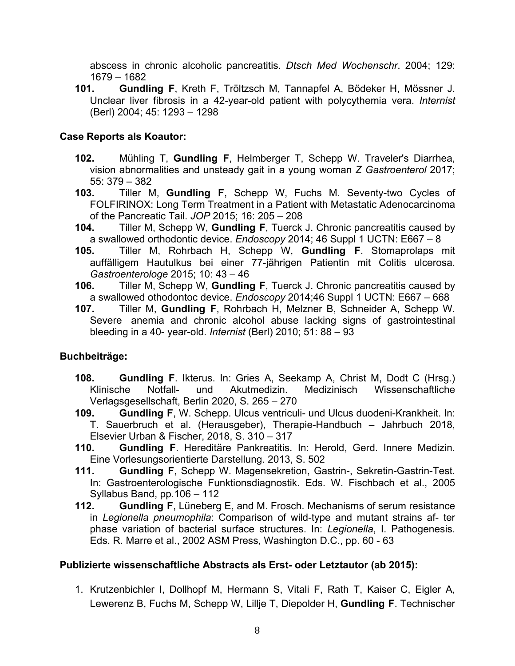abscess in chronic alcoholic pancreatitis. *Dtsch Med Wochenschr*. 2004; 129: 1679 – 1682

**101. Gundling F**, Kreth F, Tröltzsch M, Tannapfel A, Bödeker H, Mössner J. Unclear liver fibrosis in a 42-year-old patient with polycythemia vera. *Internist*  (Berl) 2004; 45: 1293 – 1298

## **Case Reports als Koautor:**

- **102.** Mühling T, **Gundling F**, Helmberger T, Schepp W. Traveler's Diarrhea, vision abnormalities and unsteady gait in a young woman *Z Gastroenterol* 2017; 55: 379 – 382
- **103.** Tiller M, **Gundling F**, Schepp W, Fuchs M. Seventy-two Cycles of FOLFIRINOX: Long Term Treatment in a Patient with Metastatic Adenocarcinoma of the Pancreatic Tail. *JOP* 2015; 16: 205 – 208
- **104.** Tiller M, Schepp W, **Gundling F**, Tuerck J. Chronic pancreatitis caused by a swallowed orthodontic device. *Endoscopy* 2014; 46 Suppl 1 UCTN: E667 – 8
- **105.** Tiller M, Rohrbach H, Schepp W, **Gundling F**. Stomaprolaps mit auffälligem Hautulkus bei einer 77-jährigen Patientin mit Colitis ulcerosa. *Gastroenterologe* 2015; 10: 43 – 46
- **106.** Tiller M, Schepp W, **Gundling F**, Tuerck J. Chronic pancreatitis caused by a swallowed othodontoc device. *Endoscopy* 2014;46 Suppl 1 UCTN: E667 – 668
- **107.** Tiller M, **Gundling F**, Rohrbach H, Melzner B, Schneider A, Schepp W. Severe anemia and chronic alcohol abuse lacking signs of gastrointestinal bleeding in a 40- year-old. *Internist* (Berl) 2010; 51: 88 – 93

## **Buchbeiträge:**

- **108. Gundling F**. Ikterus. In: Gries A, Seekamp A, Christ M, Dodt C (Hrsg.) Klinische Notfall- und Akutmedizin. Medizinisch Wissenschaftliche Verlagsgesellschaft, Berlin 2020, S. 265 – 270
- **109. Gundling F**, W. Schepp. Ulcus ventriculi- und Ulcus duodeni-Krankheit. In: T. Sauerbruch et al. (Herausgeber), Therapie-Handbuch – Jahrbuch 2018, Elsevier Urban & Fischer, 2018, S. 310 – 317
- **110. Gundling F**. Hereditäre Pankreatitis. In: Herold, Gerd. Innere Medizin. Eine Vorlesungsorientierte Darstellung. 2013, S. 502
- **111. Gundling F**, Schepp W. Magensekretion, Gastrin-, Sekretin-Gastrin-Test. In: Gastroenterologische Funktionsdiagnostik. Eds. W. Fischbach et al., 2005 Syllabus Band, pp.106 – 112
- **112. Gundling F**, Lüneberg E, and M. Frosch. Mechanisms of serum resistance in *Legionella pneumophila*: Comparison of wild-type and mutant strains af- ter phase variation of bacterial surface structures. In: *Legionella*, I. Pathogenesis. Eds. R. Marre et al., 2002 ASM Press, Washington D.C., pp. 60 - 63

## **Publizierte wissenschaftliche Abstracts als Erst- oder Letztautor (ab 2015):**

1. Krutzenbichler I, Dollhopf M, Hermann S, Vitali F, Rath T, Kaiser C, Eigler A, Lewerenz B, Fuchs M, Schepp W, Lillje T, Diepolder H, **Gundling F**. Technischer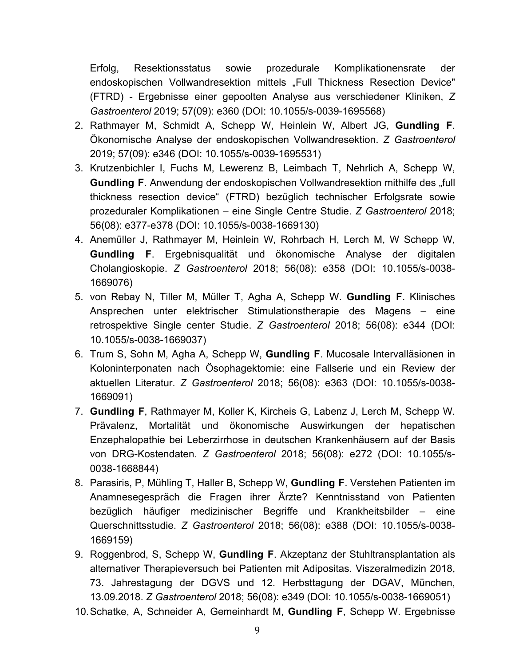Erfolg, Resektionsstatus sowie prozedurale Komplikationensrate der endoskopischen Vollwandresektion mittels "Full Thickness Resection Device" (FTRD) - Ergebnisse einer gepoolten Analyse aus verschiedener Kliniken, *Z Gastroenterol* 2019; 57(09): e360 (DOI: 10.1055/s-0039-1695568)

- 2. Rathmayer M, Schmidt A, Schepp W, Heinlein W, Albert JG, **Gundling F**. Ökonomische Analyse der endoskopischen Vollwandresektion. *Z Gastroenterol*  2019; 57(09): e346 (DOI: 10.1055/s-0039-1695531)
- 3. Krutzenbichler I, Fuchs M, Lewerenz B, Leimbach T, Nehrlich A, Schepp W, **Gundling F.** Anwendung der endoskopischen Vollwandresektion mithilfe des "full thickness resection device" (FTRD) bezüglich technischer Erfolgsrate sowie prozeduraler Komplikationen – eine Single Centre Studie. *Z Gastroenterol* 2018; 56(08): e377-e378 (DOI: 10.1055/s-0038-1669130)
- 4. Anemüller J, Rathmayer M, Heinlein W, Rohrbach H, Lerch M, W Schepp W, **Gundling F**. Ergebnisqualität und ökonomische Analyse der digitalen Cholangioskopie. *Z Gastroenterol* 2018; 56(08): e358 (DOI: 10.1055/s-0038- 1669076)
- 5. von Rebay N, Tiller M, Müller T, Agha A, Schepp W. **Gundling F**. Klinisches Ansprechen unter elektrischer Stimulationstherapie des Magens – eine retrospektive Single center Studie. *Z Gastroenterol* 2018; 56(08): e344 (DOI: 10.1055/s-0038-1669037)
- 6. Trum S, Sohn M, Agha A, Schepp W, **Gundling F**. Mucosale Intervalläsionen in Koloninterponaten nach Ösophagektomie: eine Fallserie und ein Review der aktuellen Literatur. *Z Gastroenterol* 2018; 56(08): e363 (DOI: 10.1055/s-0038- 1669091)
- 7. **Gundling F**, Rathmayer M, Koller K, Kircheis G, Labenz J, Lerch M, Schepp W. Prävalenz, Mortalität und ökonomische Auswirkungen der hepatischen Enzephalopathie bei Leberzirrhose in deutschen Krankenhäusern auf der Basis von DRG-Kostendaten. *Z Gastroenterol* 2018; 56(08): e272 (DOI: 10.1055/s-0038-1668844)
- 8. Parasiris, P, Mühling T, Haller B, Schepp W, **Gundling F**. Verstehen Patienten im Anamnesegespräch die Fragen ihrer Ärzte? Kenntnisstand von Patienten bezüglich häufiger medizinischer Begriffe und Krankheitsbilder – eine Querschnittsstudie. *Z Gastroenterol* 2018; 56(08): e388 (DOI: 10.1055/s-0038- 1669159)
- 9. Roggenbrod, S, Schepp W, **Gundling F**. Akzeptanz der Stuhltransplantation als alternativer Therapieversuch bei Patienten mit Adipositas. Viszeralmedizin 2018, 73. Jahrestagung der DGVS und 12. Herbsttagung der DGAV, München, 13.09.2018. *Z Gastroenterol* 2018; 56(08): e349 (DOI: 10.1055/s-0038-1669051)
- 10.Schatke, A, Schneider A, Gemeinhardt M, **Gundling F**, Schepp W. Ergebnisse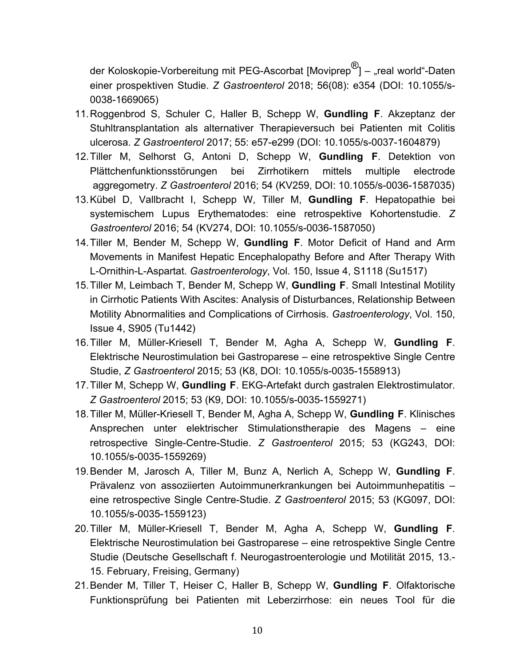der Koloskopie-Vorbereitung mit PEG-Ascorbat [Moviprep®] – "real world"-Daten einer prospektiven Studie. *Z Gastroenterol* 2018; 56(08): e354 (DOI: 10.1055/s-0038-1669065)

- 11.Roggenbrod S, Schuler C, Haller B, Schepp W, **Gundling F**. Akzeptanz der Stuhltransplantation als alternativer Therapieversuch bei Patienten mit Colitis ulcerosa. *Z Gastroenterol* 2017; 55: e57-e299 (DOI: 10.1055/s-0037-1604879)
- 12.Tiller M, Selhorst G, Antoni D, Schepp W, **Gundling F**. Detektion von Plättchenfunktionsstörungen bei Zirrhotikern mittels multiple electrode aggregometry. *Z Gastroenterol* 2016; 54 (KV259, DOI: 10.1055/s-0036-1587035)
- 13.Kübel D, Vallbracht I, Schepp W, Tiller M, **Gundling F**. Hepatopathie bei systemischem Lupus Erythematodes: eine retrospektive Kohortenstudie. *Z Gastroenterol* 2016; 54 (KV274, DOI: 10.1055/s-0036-1587050)
- 14.Tiller M, Bender M, Schepp W, **Gundling F**. Motor Deficit of Hand and Arm Movements in Manifest Hepatic Encephalopathy Before and After Therapy With L-Ornithin-L-Aspartat. *Gastroenterology*, Vol. 150, Issue 4, S1118 (Su1517)
- 15.Tiller M, Leimbach T, Bender M, Schepp W, **Gundling F**. Small Intestinal Motility in Cirrhotic Patients With Ascites: Analysis of Disturbances, Relationship Between Motility Abnormalities and Complications of Cirrhosis. *Gastroenterology*, Vol. 150, Issue 4, S905 (Tu1442)
- 16.Tiller M, Müller-Kriesell T, Bender M, Agha A, Schepp W, **Gundling F**. Elektrische Neurostimulation bei Gastroparese – eine retrospektive Single Centre Studie, *Z Gastroenterol* 2015; 53 (K8, DOI: 10.1055/s-0035-1558913)
- 17.Tiller M, Schepp W, **Gundling F**. EKG-Artefakt durch gastralen Elektrostimulator. *Z Gastroenterol* 2015; 53 (K9, DOI: 10.1055/s-0035-1559271)
- 18.Tiller M, Müller-Kriesell T, Bender M, Agha A, Schepp W, **Gundling F**. Klinisches Ansprechen unter elektrischer Stimulationstherapie des Magens – eine retrospective Single-Centre-Studie. *Z Gastroenterol* 2015; 53 (KG243, DOI: 10.1055/s-0035-1559269)
- 19.Bender M, Jarosch A, Tiller M, Bunz A, Nerlich A, Schepp W, **Gundling F**. Prävalenz von assoziierten Autoimmunerkrankungen bei Autoimmunhepatitis – eine retrospective Single Centre-Studie. *Z Gastroenterol* 2015; 53 (KG097, DOI: 10.1055/s-0035-1559123)
- 20.Tiller M, Müller-Kriesell T, Bender M, Agha A, Schepp W, **Gundling F**. Elektrische Neurostimulation bei Gastroparese – eine retrospektive Single Centre Studie (Deutsche Gesellschaft f. Neurogastroenterologie und Motilität 2015, 13.- 15. February, Freising, Germany)
- 21.Bender M, Tiller T, Heiser C, Haller B, Schepp W, **Gundling F**. Olfaktorische Funktionsprüfung bei Patienten mit Leberzirrhose: ein neues Tool für die